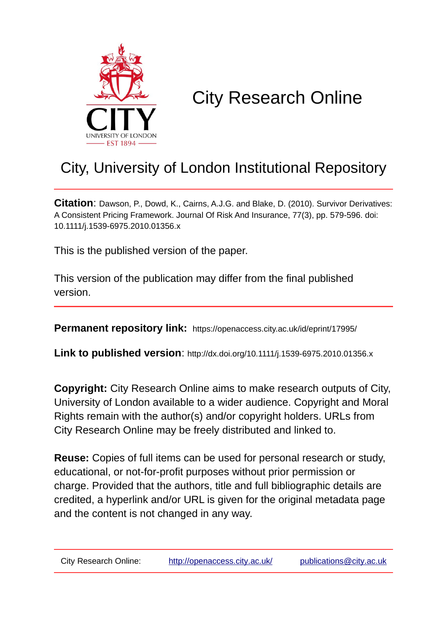

## City Research Online

### City, University of London Institutional Repository

**Citation**: Dawson, P., Dowd, K., Cairns, A.J.G. and Blake, D. (2010). Survivor Derivatives: A Consistent Pricing Framework. Journal Of Risk And Insurance, 77(3), pp. 579-596. doi: 10.1111/j.1539-6975.2010.01356.x

This is the published version of the paper.

This version of the publication may differ from the final published version.

**Permanent repository link:** https://openaccess.city.ac.uk/id/eprint/17995/

**Link to published version**: http://dx.doi.org/10.1111/j.1539-6975.2010.01356.x

**Copyright:** City Research Online aims to make research outputs of City, University of London available to a wider audience. Copyright and Moral Rights remain with the author(s) and/or copyright holders. URLs from City Research Online may be freely distributed and linked to.

**Reuse:** Copies of full items can be used for personal research or study, educational, or not-for-profit purposes without prior permission or charge. Provided that the authors, title and full bibliographic details are credited, a hyperlink and/or URL is given for the original metadata page and the content is not changed in any way.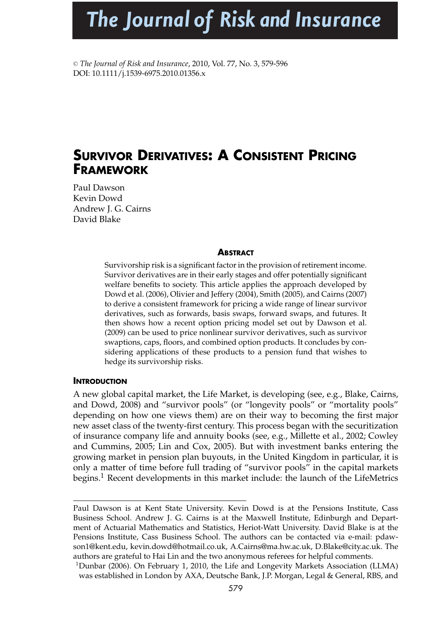# The Journal of Risk and Insurance

-<sup>C</sup> *The Journal of Risk and Insurance*, 2010, Vol. 77, No. 3, 579-596 DOI: 10.1111/j.1539-6975.2010.01356.x

### **SURVIVOR DERIVATIVES: A CONSISTENT PRICING FRAMEWORK**

Paul Dawson Kevin Dowd Andrew J. G. Cairns David Blake

#### **ABSTRACT**

Survivorship risk is a significant factor in the provision of retirement income. Survivor derivatives are in their early stages and offer potentially significant welfare benefits to society. This article applies the approach developed by Dowd et al. (2006), Olivier and Jeffery (2004), Smith (2005), and Cairns (2007) to derive a consistent framework for pricing a wide range of linear survivor derivatives, such as forwards, basis swaps, forward swaps, and futures. It then shows how a recent option pricing model set out by Dawson et al. (2009) can be used to price nonlinear survivor derivatives, such as survivor swaptions, caps, floors, and combined option products. It concludes by considering applications of these products to a pension fund that wishes to hedge its survivorship risks.

#### **INTRODUCTION**

A new global capital market, the Life Market, is developing (see, e.g., Blake, Cairns, and Dowd, 2008) and "survivor pools" (or "longevity pools" or "mortality pools" depending on how one views them) are on their way to becoming the first major new asset class of the twenty-first century. This process began with the securitization of insurance company life and annuity books (see, e.g., Millette et al., 2002; Cowley and Cummins, 2005; Lin and Cox, 2005). But with investment banks entering the growing market in pension plan buyouts, in the United Kingdom in particular, it is only a matter of time before full trading of "survivor pools" in the capital markets begins.<sup>1</sup> Recent developments in this market include: the launch of the LifeMetrics

Paul Dawson is at Kent State University. Kevin Dowd is at the Pensions Institute, Cass Business School. Andrew J. G. Cairns is at the Maxwell Institute, Edinburgh and Department of Actuarial Mathematics and Statistics, Heriot-Watt University. David Blake is at the Pensions Institute, Cass Business School. The authors can be contacted via e-mail: pdawson1@kent.edu, kevin.dowd@hotmail.co.uk, A.Cairns@ma.hw.ac.uk, D.Blake@city.ac.uk. The authors are grateful to Hai Lin and the two anonymous referees for helpful comments.

<sup>&</sup>lt;sup>1</sup>Dunbar (2006). On February 1, 2010, the Life and Longevity Markets Association (LLMA) was established in London by AXA, Deutsche Bank, J.P. Morgan, Legal & General, RBS, and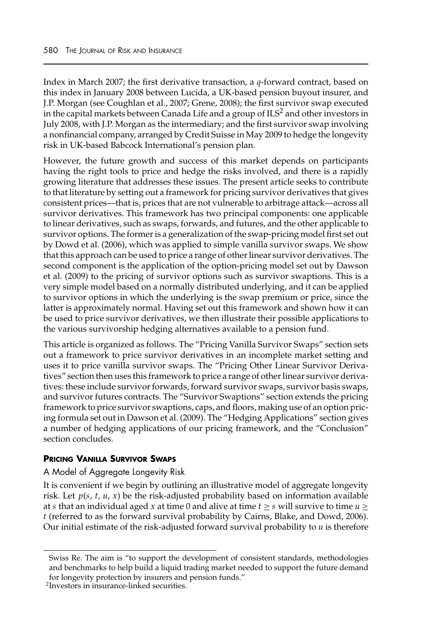Index in March 2007; the first derivative transaction, a *q*-forward contract, based on this index in January 2008 between Lucida, a UK-based pension buyout insurer, and J.P. Morgan (see Coughlan et al., 2007; Grene, 2008); the first survivor swap executed in the capital markets between Canada Life and a group of ILS<sup>2</sup> and other investors in July 2008, with J.P. Morgan as the intermediary; and the first survivor swap involving a nonfinancial company, arranged by Credit Suisse in May 2009 to hedge the longevity risk in UK-based Babcock International's pension plan.

However, the future growth and success of this market depends on participants having the right tools to price and hedge the risks involved, and there is a rapidly growing literature that addresses these issues. The present article seeks to contribute to that literature by setting out a framework for pricing survivor derivatives that gives consistent prices—that is, prices that are not vulnerable to arbitrage attack—across all survivor derivatives. This framework has two principal components: one applicable to linear derivatives, such as swaps, forwards, and futures, and the other applicable to survivor options. The former is a generalization of the swap-pricing model first set out by Dowd et al. (2006), which was applied to simple vanilla survivor swaps. We show that this approach can be used to price a range of other linear survivor derivatives. The second component is the application of the option-pricing model set out by Dawson et al. (2009) to the pricing of survivor options such as survivor swaptions. This is a very simple model based on a normally distributed underlying, and it can be applied to survivor options in which the underlying is the swap premium or price, since the latter is approximately normal. Having set out this framework and shown how it can be used to price survivor derivatives, we then illustrate their possible applications to the various survivorship hedging alternatives available to a pension fund.

This article is organized as follows. The "Pricing Vanilla Survivor Swaps" section sets out a framework to price survivor derivatives in an incomplete market setting and uses it to price vanilla survivor swaps. The "Pricing Other Linear Survivor Derivatives" section then uses this framework to price a range of other linear survivor derivatives: these include survivor forwards, forward survivor swaps, survivor basis swaps, and survivor futures contracts. The "Survivor Swaptions" section extends the pricing framework to price survivor swaptions, caps, and floors, making use of an option pricing formula set out in Dawson et al. (2009). The "Hedging Applications" section gives a number of hedging applications of our pricing framework, and the "Conclusion" section concludes.

#### **PRICING VANILLA SURVIVOR SWAPS**

#### A Model of Aggregate Longevity Risk

It is convenient if we begin by outlining an illustrative model of aggregate longevity risk. Let *p*(*s*, *t*, *u*, *x*) be the risk-adjusted probability based on information available at *s* that an individual aged *x* at time 0 and alive at time  $t \geq s$  will survive to time  $u \geq$ *t* (referred to as the forward survival probability by Cairns, Blake, and Dowd, 2006). Our initial estimate of the risk-adjusted forward survival probability to *u* is therefore

Swiss Re. The aim is "to support the development of consistent standards, methodologies and benchmarks to help build a liquid trading market needed to support the future demand for longevity protection by insurers and pension funds."

<sup>2</sup>Investors in insurance-linked securities.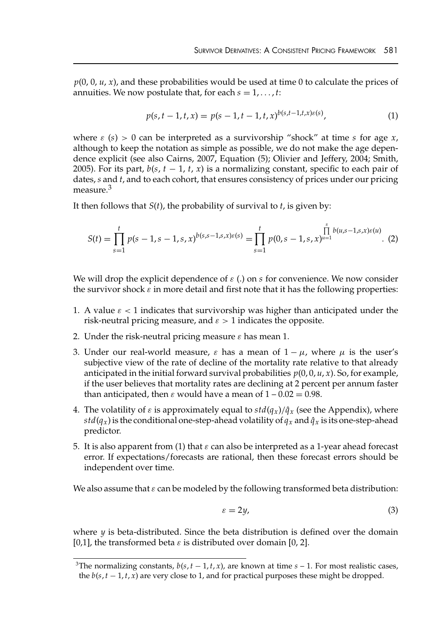*p*(0, 0, *u*, *x*), and these probabilities would be used at time 0 to calculate the prices of annuities. We now postulate that, for each  $s = 1, \ldots, t$ :

$$
p(s, t-1, t, x) = p(s-1, t-1, t, x)^{b(s, t-1, t, x)\varepsilon(s)},
$$
\n(1)

where  $\varepsilon$  (*s*) > 0 can be interpreted as a survivorship "shock" at time *s* for age *x*, although to keep the notation as simple as possible, we do not make the age dependence explicit (see also Cairns, 2007, Equation (5); Olivier and Jeffery, 2004; Smith, 2005). For its part, *b*(*s*, *t* − 1, *t*, *x*) is a normalizing constant, specific to each pair of dates, *s* and *t*, and to each cohort, that ensures consistency of prices under our pricing measure.<sup>3</sup>

It then follows that *S*(*t*), the probability of survival to *t*, is given by:

$$
S(t) = \prod_{s=1}^{t} p(s-1, s-1, s, x)^{b(s, s-1, s, x)\varepsilon(s)} = \prod_{s=1}^{t} p(0, s-1, s, x)^{\prod_{u=1}^{s} b(u, s-1, s, x)\varepsilon(u)}.
$$
 (2)

We will drop the explicit dependence of  $\varepsilon$  (.) on *s* for convenience. We now consider the survivor shock  $\varepsilon$  in more detail and first note that it has the following properties:

- 1. A value  $\varepsilon$  < 1 indicates that survivorship was higher than anticipated under the risk-neutral pricing measure, and  $\varepsilon > 1$  indicates the opposite.
- 2. Under the risk-neutral pricing measure  $\varepsilon$  has mean 1.
- 3. Under our real-world measure,  $\varepsilon$  has a mean of  $1 \mu$ , where  $\mu$  is the user's subjective view of the rate of decline of the mortality rate relative to that already anticipated in the initial forward survival probabilities  $p(0, 0, u, x)$ . So, for example, if the user believes that mortality rates are declining at 2 percent per annum faster than anticipated, then  $\varepsilon$  would have a mean of  $1 - 0.02 = 0.98$ .
- 4. The volatility of  $\varepsilon$  is approximately equal to  $std(q_x)/\hat{q}_x$  (see the Appendix), where  $std(q_x)$  is the conditional one-step-ahead volatility of  $q_x$  and  $\hat{q}_x$  is its one-step-ahead predictor.
- 5. It is also apparent from (1) that  $\varepsilon$  can also be interpreted as a 1-year ahead forecast error. If expectations/forecasts are rational, then these forecast errors should be independent over time.

We also assume that  $\varepsilon$  can be modeled by the following transformed beta distribution:

$$
\varepsilon = 2y,\tag{3}
$$

where  $\psi$  is beta-distributed. Since the beta distribution is defined over the domain [0,1], the transformed beta  $\varepsilon$  is distributed over domain [0, 2].

<sup>&</sup>lt;sup>3</sup>The normalizing constants,  $b(s, t - 1, t, x)$ , are known at time  $s - 1$ . For most realistic cases, the  $b(s, t - 1, t, x)$  are very close to 1, and for practical purposes these might be dropped.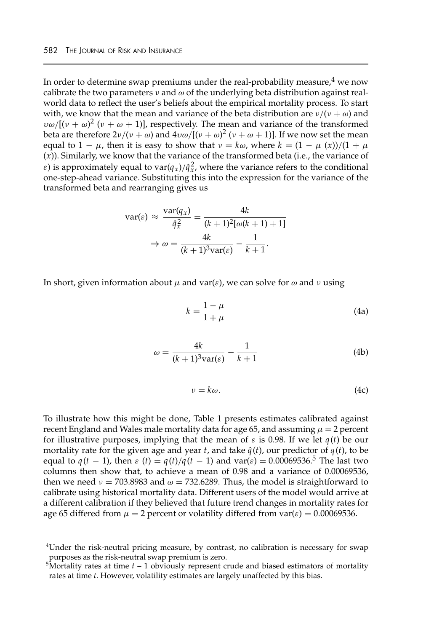In order to determine swap premiums under the real-probability measure, $4$  we now calibrate the two parameters  $\nu$  and  $\omega$  of the underlying beta distribution against realworld data to reflect the user's beliefs about the empirical mortality process. To start with, we know that the mean and variance of the beta distribution are  $v/(v + \omega)$  and  $\nu\omega/[(\nu + \omega)^2 (\nu + \omega + 1)]$ , respectively. The mean and variance of the transformed beta are therefore  $2\nu/(\nu + \omega)$  and  $4\nu\omega/[(\nu + \omega)^2(\nu + \omega + 1)]$ . If we now set the mean equal to  $1 - \mu$ , then it is easy to show that  $\nu = k\omega$ , where  $k = (1 - \mu)(\lambda)/((1 + \mu)(\lambda))$ (*x*)). Similarly, we know that the variance of the transformed beta (i.e., the variance of  $\varepsilon$ ) is approximately equal to  $var(q_x)/\hat{q}_x^2$ , where the variance refers to the conditional one-step-ahead variance. Substituting this into the expression for the variance of the transformed beta and rearranging gives us

$$
\operatorname{var}(\varepsilon) \approx \frac{\operatorname{var}(q_x)}{\hat{q}_x^2} = \frac{4k}{(k+1)^2[\omega(k+1)+1]}
$$

$$
\Rightarrow \omega = \frac{4k}{(k+1)^3 \operatorname{var}(\varepsilon)} - \frac{1}{k+1}.
$$

In short, given information about  $\mu$  and var( $\varepsilon$ ), we can solve for  $\omega$  and  $\nu$  using

$$
k = \frac{1 - \mu}{1 + \mu} \tag{4a}
$$

$$
\omega = \frac{4k}{(k+1)^3 \text{var}(\varepsilon)} - \frac{1}{k+1} \tag{4b}
$$

$$
v = k\omega. \tag{4c}
$$

To illustrate how this might be done, Table 1 presents estimates calibrated against recent England and Wales male mortality data for age 65, and assuming  $\mu = 2$  percent for illustrative purposes, implying that the mean of  $\varepsilon$  is 0.98. If we let  $q(t)$  be our mortality rate for the given age and year *t*, and take  $\hat{q}(t)$ , our predictor of  $q(t)$ , to be equal to  $q(t - 1)$ , then  $\varepsilon$  (*t*) =  $q(t)/q(t - 1)$  and var( $\varepsilon$ ) = 0.00069536.<sup>5</sup> The last two columns then show that, to achieve a mean of 0.98 and a variance of 0.00069536, then we need  $v = 703.8983$  and  $\omega = 732.6289$ . Thus, the model is straightforward to calibrate using historical mortality data. Different users of the model would arrive at a different calibration if they believed that future trend changes in mortality rates for age 65 differed from  $\mu = 2$  percent or volatility differed from var( $\varepsilon$ ) = 0.00069536.

<sup>&</sup>lt;sup>4</sup>Under the risk-neutral pricing measure, by contrast, no calibration is necessary for swap purposes as the risk-neutral swap premium is zero.

 $5$ Mortality rates at time  $t - 1$  obviously represent crude and biased estimators of mortality rates at time *t*. However, volatility estimates are largely unaffected by this bias.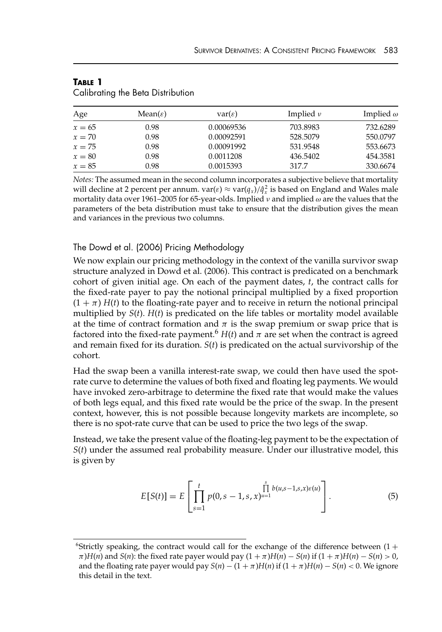| Age      | $Mean(\varepsilon)$ | $var(\varepsilon)$ | Implied $\nu$ | Implied $\omega$ |
|----------|---------------------|--------------------|---------------|------------------|
| $x=65$   | 0.98                | 0.00069536         | 703.8983      | 732.6289         |
| $x=70$   | 0.98                | 0.00092591         | 528.5079      | 550.0797         |
| $x = 75$ | 0.98                | 0.00091992         | 531.9548      | 553.6673         |
| $x = 80$ | 0.98                | 0.0011208          | 436.5402      | 454.3581         |
| $x = 85$ | 0.98                | 0.0015393          | 317.7         | 330.6674         |

#### **TABLE 1** Calibrating the Beta Distribution

*Notes:* The assumed mean in the second column incorporates a subjective believe that mortality will decline at 2 percent per annum.  $var(\varepsilon) \approx var(q_x)/\hat{q}_x^2$  is based on England and Wales male mortality data over 1961–2005 for 65-year-olds. Implied  $\nu$  and implied  $\omega$  are the values that the parameters of the beta distribution must take to ensure that the distribution gives the mean and variances in the previous two columns.

The Dowd et al. (2006) Pricing Methodology

We now explain our pricing methodology in the context of the vanilla survivor swap structure analyzed in Dowd et al. (2006). This contract is predicated on a benchmark cohort of given initial age. On each of the payment dates, *t*, the contract calls for the fixed-rate payer to pay the notional principal multiplied by a fixed proportion  $(1 + \pi)$  *H*(*t*) to the floating-rate payer and to receive in return the notional principal multiplied by  $S(t)$ .  $H(t)$  is predicated on the life tables or mortality model available at the time of contract formation and  $\pi$  is the swap premium or swap price that is factored into the fixed-rate payment.<sup>6</sup>  $H(t)$  and  $\pi$  are set when the contract is agreed and remain fixed for its duration. *S*(*t*) is predicated on the actual survivorship of the cohort.

Had the swap been a vanilla interest-rate swap, we could then have used the spotrate curve to determine the values of both fixed and floating leg payments. We would have invoked zero-arbitrage to determine the fixed rate that would make the values of both legs equal, and this fixed rate would be the price of the swap. In the present context, however, this is not possible because longevity markets are incomplete, so there is no spot-rate curve that can be used to price the two legs of the swap.

Instead, we take the present value of the floating-leg payment to be the expectation of *S*(*t*) under the assumed real probability measure. Under our illustrative model, this is given by

$$
E[S(t)] = E\left[\prod_{s=1}^{t} p(0, s-1, s, x)^{\prod_{u=1}^{s} b(u, s-1, s, x)\varepsilon(u)}\right].
$$
 (5)

<sup>&</sup>lt;sup>6</sup>Strictly speaking, the contract would call for the exchange of the difference between  $(1 +$  $\pi$ *)H*(*n*) and *S*(*n*): the fixed rate payer would pay  $(1 + \pi)H(n) - S(n)$  if  $(1 + \pi)H(n) - S(n) > 0$ , and the floating rate payer would pay  $S(n) - (1 + \pi)H(n)$  if  $(1 + \pi)H(n) - S(n) < 0$ . We ignore this detail in the text.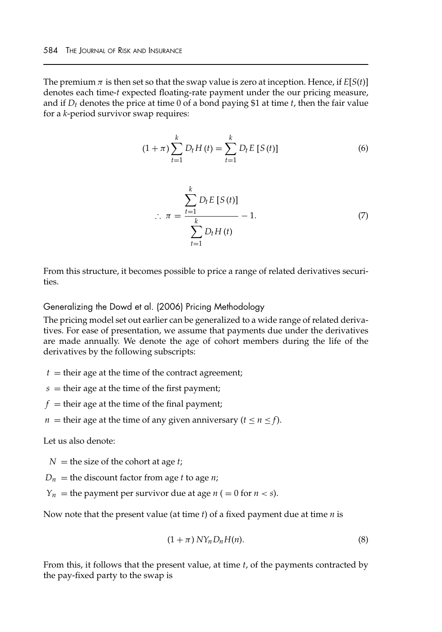The premium  $\pi$  is then set so that the swap value is zero at inception. Hence, if  $E[S(t)]$ denotes each time-*t* expected floating-rate payment under the our pricing measure, and if  $D_t$  denotes the price at time 0 of a bond paying \$1 at time  $t$ , then the fair value for a *k*-period survivor swap requires:

$$
(1 + \pi) \sum_{t=1}^{k} D_t H(t) = \sum_{t=1}^{k} D_t E[S(t)] \tag{6}
$$

$$
\therefore \ \pi = \frac{\sum_{t=1}^{k} D_t E \, [S(t)]}{\sum_{t=1}^{k} D_t H \, (t)} - 1. \tag{7}
$$

From this structure, it becomes possible to price a range of related derivatives securities.

Generalizing the Dowd et al. (2006) Pricing Methodology

The pricing model set out earlier can be generalized to a wide range of related derivatives. For ease of presentation, we assume that payments due under the derivatives are made annually. We denote the age of cohort members during the life of the derivatives by the following subscripts:

 $t =$  their age at the time of the contract agreement;

- $s =$  their age at the time of the first payment;
- $f$  = their age at the time of the final payment;
- *n* = their age at the time of any given anniversary ( $t \le n \le f$ ).

Let us also denote:

- $N =$  the size of the cohort at age *t*;
- $D_n$  = the discount factor from age *t* to age *n*;
- *Y<sub>n</sub>* = the payment per survivor due at age *n* ( = 0 for *n* < *s*).

Now note that the present value (at time *t*) of a fixed payment due at time *n* is

$$
(1+\pi) N Y_n D_n H(n). \tag{8}
$$

From this, it follows that the present value, at time *t*, of the payments contracted by the pay-fixed party to the swap is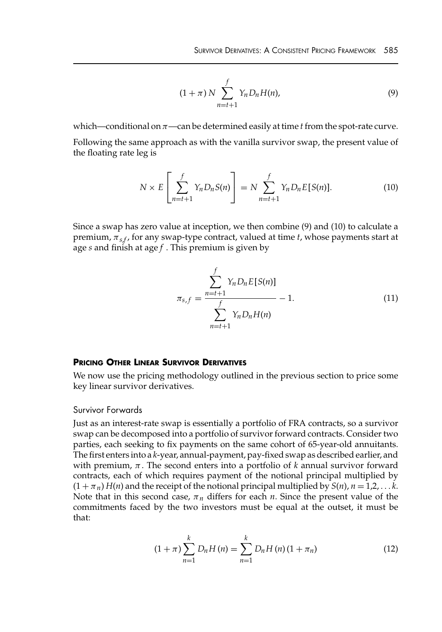$$
(1 + \pi) N \sum_{n=t+1}^{f} Y_n D_n H(n), \tag{9}
$$

which—conditional on  $\pi$ —can be determined easily at time *t* from the spot-rate curve. Following the same approach as with the vanilla survivor swap, the present value of the floating rate leg is

$$
N \times E\left[\sum_{n=t+1}^{f} Y_n D_n S(n)\right] = N \sum_{n=t+1}^{f} Y_n D_n E[S(n)]. \tag{10}
$$

Since a swap has zero value at inception, we then combine (9) and (10) to calculate a premium, π*s*,*<sup>f</sup>* , for any swap-type contract, valued at time *t*, whose payments start at age *s* and finish at age *f* . This premium is given by

$$
\pi_{s,f} = \frac{\sum_{n=t+1}^{f} Y_n D_n E[S(n)]}{\sum_{n=t+1}^{f} Y_n D_n H(n)} - 1.
$$
\n(11)

#### **PRICING OTHER LINEAR SURVIVOR DERIVATIVES**

We now use the pricing methodology outlined in the previous section to price some key linear survivor derivatives.

#### Survivor Forwards

Just as an interest-rate swap is essentially a portfolio of FRA contracts, so a survivor swap can be decomposed into a portfolio of survivor forward contracts. Consider two parties, each seeking to fix payments on the same cohort of 65-year-old annuitants. The first enters into a *k*-year, annual-payment, pay-fixed swap as described earlier, and with premium,  $\pi$ . The second enters into a portfolio of *k* annual survivor forward contracts, each of which requires payment of the notional principal multiplied by  $(1 + \pi n)$  *H*(*n*) and the receipt of the notional principal multiplied by *S*(*n*), *n* = 1,2, ... *k*. Note that in this second case,  $\pi_n$  differs for each *n*. Since the present value of the commitments faced by the two investors must be equal at the outset, it must be that:

$$
(1 + \pi) \sum_{n=1}^{k} D_n H(n) = \sum_{n=1}^{k} D_n H(n) (1 + \pi_n)
$$
 (12)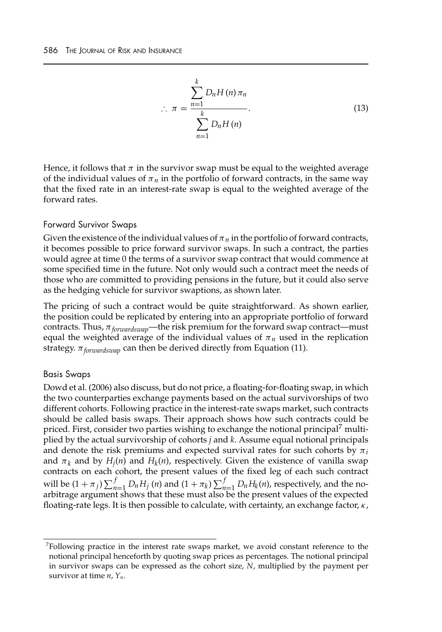$$
\therefore \ \pi = \frac{\sum_{n=1}^{k} D_n H(n) \pi_n}{\sum_{n=1}^{k} D_n H(n)}.
$$
\n(13)

Hence, it follows that  $\pi$  in the survivor swap must be equal to the weighted average of the individual values of  $\pi_n$  in the portfolio of forward contracts, in the same way that the fixed rate in an interest-rate swap is equal to the weighted average of the forward rates.

#### Forward Survivor Swaps

Given the existence of the individual values of  $\pi_n$  in the portfolio of forward contracts, it becomes possible to price forward survivor swaps. In such a contract, the parties would agree at time 0 the terms of a survivor swap contract that would commence at some specified time in the future. Not only would such a contract meet the needs of those who are committed to providing pensions in the future, but it could also serve as the hedging vehicle for survivor swaptions, as shown later.

The pricing of such a contract would be quite straightforward. As shown earlier, the position could be replicated by entering into an appropriate portfolio of forward contracts. Thus,  $\pi_{forwardswap}$ —the risk premium for the forward swap contract—must equal the weighted average of the individual values of  $\pi_n$  used in the replication strategy. π*forwardswap* can then be derived directly from Equation (11).

#### Basis Swaps

Dowd et al. (2006) also discuss, but do not price, a floating-for-floating swap, in which the two counterparties exchange payments based on the actual survivorships of two different cohorts. Following practice in the interest-rate swaps market, such contracts should be called basis swaps. Their approach shows how such contracts could be priced. First, consider two parties wishing to exchange the notional principal<sup>7</sup> multiplied by the actual survivorship of cohorts *j* and *k*. Assume equal notional principals and denote the risk premiums and expected survival rates for such cohorts by  $\pi_i$ and  $\pi_k$  and by  $H_i(n)$  and  $H_k(n)$ , respectively. Given the existence of vanilla swap contracts on each cohort, the present values of the fixed leg of each such contract will be  $(1 + \pi_j) \sum_{n=1}^f D_n H_j(n)$  and  $(1 + \pi_k) \sum_{n=1}^f D_n H_k(n)$ , respectively, and the noarbitrage argument shows that these must also be the present values of the expected floating-rate legs. It is then possible to calculate, with certainty, an exchange factor,  $\kappa$ ,

<sup>7</sup>Following practice in the interest rate swaps market, we avoid constant reference to the notional principal henceforth by quoting swap prices as percentages. The notional principal in survivor swaps can be expressed as the cohort size, *N*, multiplied by the payment per survivor at time *n*, *Yn*.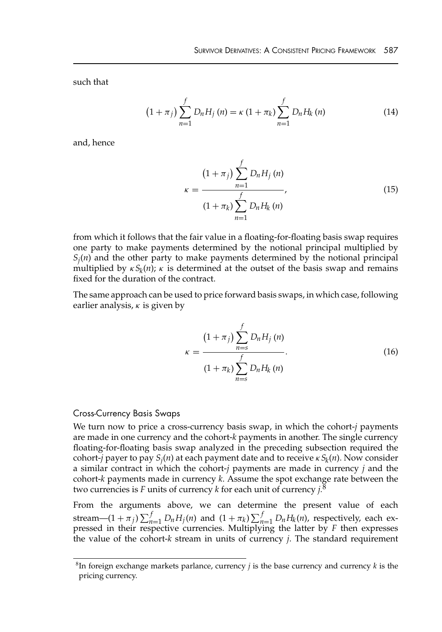such that

$$
(1 + \pi_j) \sum_{n=1}^{f} D_n H_j(n) = \kappa (1 + \pi_k) \sum_{n=1}^{f} D_n H_k(n)
$$
 (14)

and, hence

$$
\kappa = \frac{(1 + \pi_j) \sum_{n=1}^{f} D_n H_j(n)}{(1 + \pi_k) \sum_{n=1}^{f} D_n H_k(n)},
$$
\n(15)

from which it follows that the fair value in a floating-for-floating basis swap requires one party to make payments determined by the notional principal multiplied by  $S_i(n)$  and the other party to make payments determined by the notional principal multiplied by  $\kappa S_k(n)$ ;  $\kappa$  is determined at the outset of the basis swap and remains fixed for the duration of the contract.

The same approach can be used to price forward basis swaps, in which case, following earlier analysis,  $\kappa$  is given by

$$
\kappa = \frac{(1 + \pi_j) \sum_{n=s}^{f} D_n H_j(n)}{(1 + \pi_k) \sum_{n=s}^{f} D_n H_k(n)}.
$$
 (16)

#### Cross-Currency Basis Swaps

We turn now to price a cross-currency basis swap, in which the cohort-*j* payments are made in one currency and the cohort-*k* payments in another. The single currency floating-for-floating basis swap analyzed in the preceding subsection required the cohort-*j* payer to pay  $S_i(n)$  at each payment date and to receive  $\kappa S_k(n)$ . Now consider a similar contract in which the cohort-*j* payments are made in currency *j* and the cohort-*k* payments made in currency *k*. Assume the spot exchange rate between the two currencies is *F* units of currency *k* for each unit of currency *j.*<sup>8</sup>

From the arguments above, we can determine the present value of each stream— $(1 + \pi_j) \sum_{n=1}^{f} D_n H_j(n)$  and  $(1 + \pi_k) \sum_{n=1}^{f} D_n H_k(n)$ , respectively, each expressed in their respective currencies. Multiplying the latter by *F* then expresses the value of the cohort- $k$  stream in units of currency  $j$ . The standard requirement

<sup>8</sup>In foreign exchange markets parlance, currency *j* is the base currency and currency *k* is the pricing currency.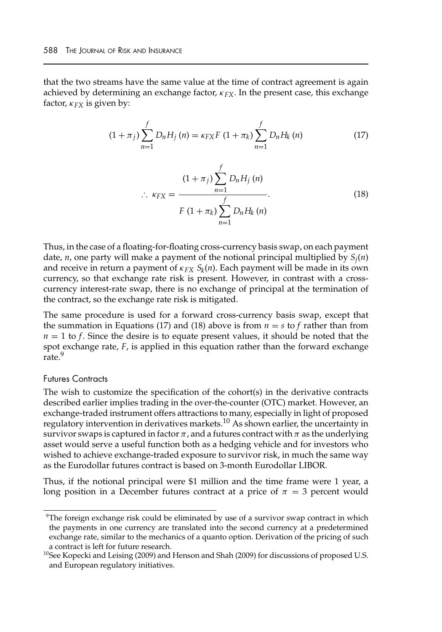that the two streams have the same value at the time of contract agreement is again achieved by determining an exchange factor, κ*FX*. In the present case, this exchange factor,  $\kappa$ <sub>*FX*</sub> is given by:

$$
(1 + \pi_j) \sum_{n=1}^{f} D_n H_j(n) = \kappa_{FX} F (1 + \pi_k) \sum_{n=1}^{f} D_n H_k(n)
$$
 (17)

$$
\therefore \ \kappa_{FX} = \frac{(1+\pi_j)\sum_{n=1}^{f} D_n H_j(n)}{F(1+\pi_k)\sum_{n=1}^{f} D_n H_k(n)}.
$$
 (18)

Thus, in the case of a floating-for-floating cross-currency basis swap, on each payment date, *n*, one party will make a payment of the notional principal multiplied by  $S_i(n)$ and receive in return a payment of  $\kappa_{FX} S_k(n)$ . Each payment will be made in its own currency, so that exchange rate risk is present. However, in contrast with a crosscurrency interest-rate swap, there is no exchange of principal at the termination of the contract, so the exchange rate risk is mitigated.

The same procedure is used for a forward cross-currency basis swap, except that the summation in Equations (17) and (18) above is from  $n = s$  to f rather than from  $n = 1$  to  $f$ . Since the desire is to equate present values, it should be noted that the spot exchange rate, *F*, is applied in this equation rather than the forward exchange rate.<sup>9</sup>

#### Futures Contracts

The wish to customize the specification of the cohort(s) in the derivative contracts described earlier implies trading in the over-the-counter (OTC) market. However, an exchange-traded instrument offers attractions to many, especially in light of proposed regulatory intervention in derivatives markets.10 As shown earlier, the uncertainty in survivor swaps is captured in factor  $\pi$ , and a futures contract with  $\pi$  as the underlying asset would serve a useful function both as a hedging vehicle and for investors who wished to achieve exchange-traded exposure to survivor risk, in much the same way as the Eurodollar futures contract is based on 3-month Eurodollar LIBOR.

Thus, if the notional principal were \$1 million and the time frame were 1 year, a long position in a December futures contract at a price of  $\pi = 3$  percent would

<sup>9</sup>The foreign exchange risk could be eliminated by use of a survivor swap contract in which the payments in one currency are translated into the second currency at a predetermined exchange rate, similar to the mechanics of a quanto option. Derivation of the pricing of such a contract is left for future research.

<sup>&</sup>lt;sup>10</sup>See Kopecki and Leising (2009) and Henson and Shah (2009) for discussions of proposed U.S. and European regulatory initiatives.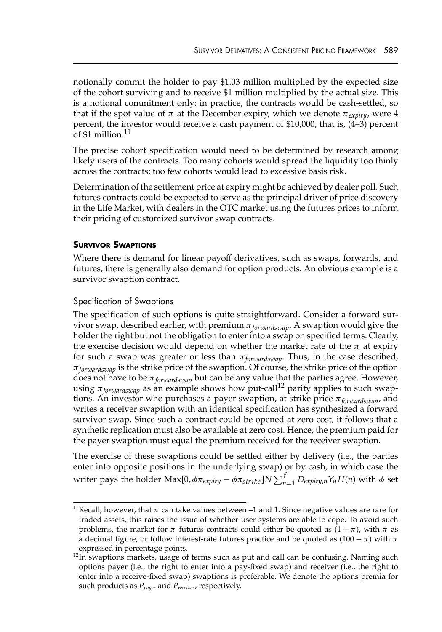notionally commit the holder to pay \$1.03 million multiplied by the expected size of the cohort surviving and to receive \$1 million multiplied by the actual size. This is a notional commitment only: in practice, the contracts would be cash-settled, so that if the spot value of  $\pi$  at the December expiry, which we denote  $\pi_{\text{expriv}}$ , were 4 percent, the investor would receive a cash payment of \$10,000, that is, (4–3) percent of \$1 million.<sup>11</sup>

The precise cohort specification would need to be determined by research among likely users of the contracts. Too many cohorts would spread the liquidity too thinly across the contracts; too few cohorts would lead to excessive basis risk.

Determination of the settlement price at expiry might be achieved by dealer poll. Such futures contracts could be expected to serve as the principal driver of price discovery in the Life Market, with dealers in the OTC market using the futures prices to inform their pricing of customized survivor swap contracts.

#### **SURVIVOR SWAPTIONS**

Where there is demand for linear payoff derivatives, such as swaps, forwards, and futures, there is generally also demand for option products. An obvious example is a survivor swaption contract.

#### Specification of Swaptions

The specification of such options is quite straightforward. Consider a forward survivor swap, described earlier, with premium π*forwardswap*. A swaption would give the holder the right but not the obligation to enter into a swap on specified terms. Clearly, the exercise decision would depend on whether the market rate of the  $\pi$  at expiry for such a swap was greater or less than  $\pi_{forwardswap}$ . Thus, in the case described, π*forwardswap* is the strike price of the swaption. Of course, the strike price of the option does not have to be  $\pi_{forwardswap}$  but can be any value that the parties agree. However, using  $\pi_{forwardswap}$  as an example shows how put-call<sup>12</sup> parity applies to such swaptions. An investor who purchases a payer swaption, at strike price π*forwardswap*, and writes a receiver swaption with an identical specification has synthesized a forward survivor swap. Since such a contract could be opened at zero cost, it follows that a synthetic replication must also be available at zero cost. Hence, the premium paid for the payer swaption must equal the premium received for the receiver swaption.

The exercise of these swaptions could be settled either by delivery (i.e., the parties enter into opposite positions in the underlying swap) or by cash, in which case the writer pays the holder  $\text{Max}[0, \phi \pi_{expiry} - \phi \pi_{strike}]N \sum_{n=1}^{f} D_{expiry,n} Y_n H(n)$  with  $\phi$  set

<sup>&</sup>lt;sup>11</sup> Recall, however, that  $\pi$  can take values between -1 and 1. Since negative values are rare for traded assets, this raises the issue of whether user systems are able to cope. To avoid such problems, the market for  $\pi$  futures contracts could either be quoted as  $(1 + \pi)$ , with  $\pi$  as a decimal figure, or follow interest-rate futures practice and be quoted as  $(100 - \pi)$  with  $\pi$ expressed in percentage points.

 $12$ In swaptions markets, usage of terms such as put and call can be confusing. Naming such options payer (i.e., the right to enter into a pay-fixed swap) and receiver (i.e., the right to enter into a receive-fixed swap) swaptions is preferable. We denote the options premia for such products as *Ppayer* and *Preceiver*, respectively.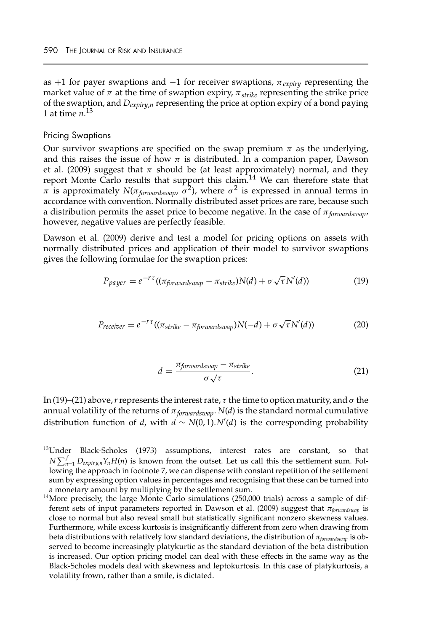as +1 for payer swaptions and  $-1$  for receiver swaptions,  $\pi_{\text{expiry}}$  representing the market value of  $\pi$  at the time of swaption expiry,  $\pi_{\text{strip}}$  representing the strike price of the swaption, and *Dexpiry*,*n* representing the price at option expiry of a bond paying 1 at time *n*. 13

#### Pricing Swaptions

Our survivor swaptions are specified on the swap premium  $\pi$  as the underlying, and this raises the issue of how  $\pi$  is distributed. In a companion paper, Dawson et al. (2009) suggest that  $\pi$  should be (at least approximately) normal, and they report Monte Carlo results that support this claim.<sup>14</sup> We can therefore state that π is approximately  $N(\pi_{forwardswap}, \sigma^2)$ , where  $\sigma^2$  is expressed in annual terms in accordance with convention. Normally distributed asset prices are rare, because such a distribution permits the asset price to become negative. In the case of π*forwardswap*, however, negative values are perfectly feasible.

Dawson et al. (2009) derive and test a model for pricing options on assets with normally distributed prices and application of their model to survivor swaptions gives the following formulae for the swaption prices:

$$
P_{\text{paper}} = e^{-r\tau}((\pi_{\text{forwardswap}} - \pi_{\text{strike}})N(d) + \sigma\sqrt{\tau}N'(d))
$$
\n(19)

$$
P_{receiver} = e^{-r\tau}((\pi_{strike} - \pi_{forwardswap})N(-d) + \sigma\sqrt{\tau}N'(d))
$$
\n(20)

$$
d = \frac{\pi_{forwardswap} - \pi_{strike}}{\sigma\sqrt{\tau}}.
$$
 (21)

In (19)–(21) above, *r* represents the interest rate,  $\tau$  the time to option maturity, and  $\sigma$  the annual volatility of the returns of  $\pi_{forwardswap}$ . *N*(*d*) is the standard normal cumulative distribution function of *d*, with  $d \sim N(0, 1)$ . *N'*(*d*) is the corresponding probability

<sup>13</sup>Under Black-Scholes (1973) assumptions, interest rates are constant, so that  $N \sum_{n=1}^{f} D_{expiry,n} Y_n H(n)$  is known from the outset. Let us call this the settlement sum. Following the approach in footnote 7, we can dispense with constant repetition of the settlement sum by expressing option values in percentages and recognising that these can be turned into a monetary amount by multiplying by the settlement sum.

<sup>&</sup>lt;sup>14</sup>More precisely, the large Monte Carlo simulations (250,000 trials) across a sample of different sets of input parameters reported in Dawson et al. (2009) suggest that π*forwardswap* is close to normal but also reveal small but statistically significant nonzero skewness values. Furthermore, while excess kurtosis is insignificantly different from zero when drawing from beta distributions with relatively low standard deviations, the distribution of π*forwardswap* is observed to become increasingly platykurtic as the standard deviation of the beta distribution is increased. Our option pricing model can deal with these effects in the same way as the Black-Scholes models deal with skewness and leptokurtosis. In this case of platykurtosis, a volatility frown, rather than a smile, is dictated.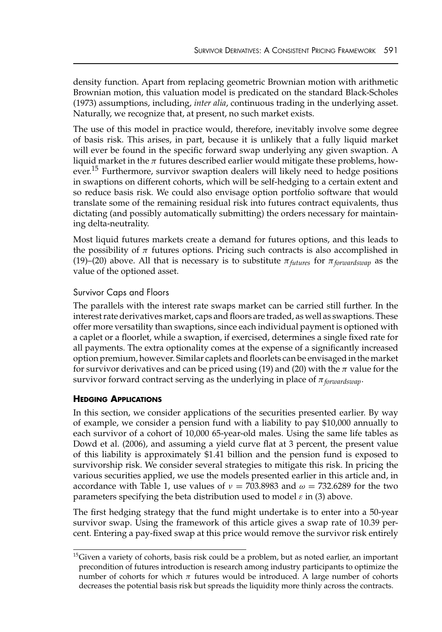density function. Apart from replacing geometric Brownian motion with arithmetic Brownian motion, this valuation model is predicated on the standard Black-Scholes (1973) assumptions, including, *inter alia*, continuous trading in the underlying asset. Naturally, we recognize that, at present, no such market exists.

The use of this model in practice would, therefore, inevitably involve some degree of basis risk. This arises, in part, because it is unlikely that a fully liquid market will ever be found in the specific forward swap underlying any given swaption. A liquid market in the  $\pi$  futures described earlier would mitigate these problems, however.<sup>15</sup> Furthermore, survivor swaption dealers will likely need to hedge positions in swaptions on different cohorts, which will be self-hedging to a certain extent and so reduce basis risk. We could also envisage option portfolio software that would translate some of the remaining residual risk into futures contract equivalents, thus dictating (and possibly automatically submitting) the orders necessary for maintaining delta-neutrality.

Most liquid futures markets create a demand for futures options, and this leads to the possibility of  $\pi$  futures options. Pricing such contracts is also accomplished in (19)–(20) above. All that is necessary is to substitute  $\pi_{futures}$  for  $\pi_{forwardswap}$  as the value of the optioned asset.

#### Survivor Caps and Floors

The parallels with the interest rate swaps market can be carried still further. In the interest rate derivatives market, caps and floors are traded, as well as swaptions. These offer more versatility than swaptions, since each individual payment is optioned with a caplet or a floorlet, while a swaption, if exercised, determines a single fixed rate for all payments. The extra optionality comes at the expense of a significantly increased option premium, however. Similar caplets and floorlets can be envisaged in the market for survivor derivatives and can be priced using (19) and (20) with the  $\pi$  value for the survivor forward contract serving as the underlying in place of π*forwardswap*.

#### **HEDGING APPLICATIONS**

In this section, we consider applications of the securities presented earlier. By way of example, we consider a pension fund with a liability to pay \$10,000 annually to each survivor of a cohort of 10,000 65-year-old males. Using the same life tables as Dowd et al. (2006), and assuming a yield curve flat at 3 percent, the present value of this liability is approximately \$1.41 billion and the pension fund is exposed to survivorship risk. We consider several strategies to mitigate this risk. In pricing the various securities applied, we use the models presented earlier in this article and, in accordance with Table 1, use values of  $\nu = 703.8983$  and  $\omega = 732.6289$  for the two parameters specifying the beta distribution used to model  $\varepsilon$  in (3) above.

The first hedging strategy that the fund might undertake is to enter into a 50-year survivor swap. Using the framework of this article gives a swap rate of 10.39 percent. Entering a pay-fixed swap at this price would remove the survivor risk entirely

 $15$ Given a variety of cohorts, basis risk could be a problem, but as noted earlier, an important precondition of futures introduction is research among industry participants to optimize the number of cohorts for which  $\pi$  futures would be introduced. A large number of cohorts decreases the potential basis risk but spreads the liquidity more thinly across the contracts.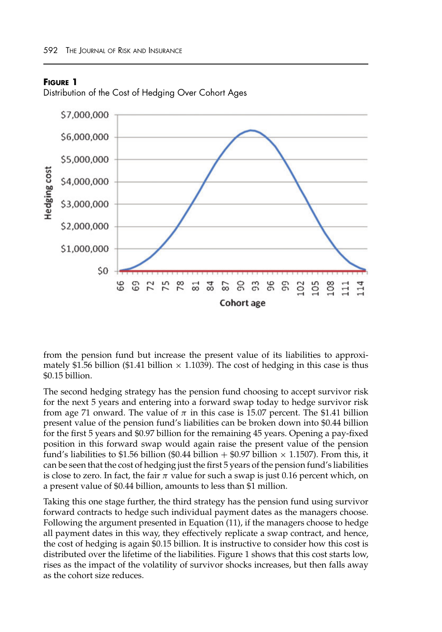#### **FIGURE 1**





from the pension fund but increase the present value of its liabilities to approximately \$1.56 billion (\$1.41 billion  $\times$  1.1039). The cost of hedging in this case is thus \$0.15 billion.

The second hedging strategy has the pension fund choosing to accept survivor risk for the next 5 years and entering into a forward swap today to hedge survivor risk from age 71 onward. The value of  $\pi$  in this case is 15.07 percent. The \$1.41 billion present value of the pension fund's liabilities can be broken down into \$0.44 billion for the first 5 years and \$0.97 billion for the remaining 45 years. Opening a pay-fixed position in this forward swap would again raise the present value of the pension fund's liabilities to \$1.56 billion (\$0.44 billion  $+$  \$0.97 billion  $\times$  1.1507). From this, it can be seen that the cost of hedging just the first 5 years of the pension fund's liabilities is close to zero. In fact, the fair  $\pi$  value for such a swap is just 0.16 percent which, on a present value of \$0.44 billion, amounts to less than \$1 million.

Taking this one stage further, the third strategy has the pension fund using survivor forward contracts to hedge such individual payment dates as the managers choose. Following the argument presented in Equation (11), if the managers choose to hedge all payment dates in this way, they effectively replicate a swap contract, and hence, the cost of hedging is again \$0.15 billion. It is instructive to consider how this cost is distributed over the lifetime of the liabilities. Figure 1 shows that this cost starts low, rises as the impact of the volatility of survivor shocks increases, but then falls away as the cohort size reduces.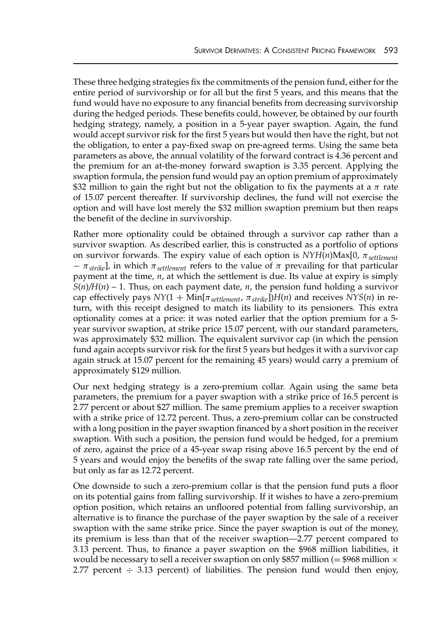These three hedging strategies fix the commitments of the pension fund, either for the entire period of survivorship or for all but the first 5 years, and this means that the fund would have no exposure to any financial benefits from decreasing survivorship during the hedged periods. These benefits could, however, be obtained by our fourth hedging strategy, namely, a position in a 5-year payer swaption. Again, the fund would accept survivor risk for the first 5 years but would then have the right, but not the obligation, to enter a pay-fixed swap on pre-agreed terms. Using the same beta parameters as above, the annual volatility of the forward contract is 4.36 percent and the premium for an at-the-money forward swaption is 3.35 percent. Applying the swaption formula, the pension fund would pay an option premium of approximately \$32 million to gain the right but not the obligation to fix the payments at a  $\pi$  rate of 15.07 percent thereafter. If survivorship declines, the fund will not exercise the option and will have lost merely the \$32 million swaption premium but then reaps the benefit of the decline in survivorship.

Rather more optionality could be obtained through a survivor cap rather than a survivor swaption. As described earlier, this is constructed as a portfolio of options on survivor forwards. The expiry value of each option is  $NYH(n)Max[0, \pi_{setElement}$  $-\pi_{\text{strike}}$ , in which  $\pi_{\text{setelement}}$  refers to the value of  $\pi$  prevailing for that particular payment at the time, *n*, at which the settlement is due. Its value at expiry is simply  $S(n)/H(n) - 1$ . Thus, on each payment date, *n*, the pension fund holding a survivor cap effectively pays  $NY(1 + Min[\pi_{setElement}, \pi_{strike}])H(n)$  and receives  $NYS(n)$  in return, with this receipt designed to match its liability to its pensioners. This extra optionality comes at a price: it was noted earlier that the option premium for a 5 year survivor swaption, at strike price 15.07 percent, with our standard parameters, was approximately \$32 million. The equivalent survivor cap (in which the pension fund again accepts survivor risk for the first 5 years but hedges it with a survivor cap again struck at 15.07 percent for the remaining 45 years) would carry a premium of approximately \$129 million.

Our next hedging strategy is a zero-premium collar. Again using the same beta parameters, the premium for a payer swaption with a strike price of 16.5 percent is 2.77 percent or about \$27 million. The same premium applies to a receiver swaption with a strike price of 12.72 percent. Thus, a zero-premium collar can be constructed with a long position in the payer swaption financed by a short position in the receiver swaption. With such a position, the pension fund would be hedged, for a premium of zero, against the price of a 45-year swap rising above 16.5 percent by the end of 5 years and would enjoy the benefits of the swap rate falling over the same period, but only as far as 12.72 percent.

One downside to such a zero-premium collar is that the pension fund puts a floor on its potential gains from falling survivorship. If it wishes to have a zero-premium option position, which retains an unfloored potential from falling survivorship, an alternative is to finance the purchase of the payer swaption by the sale of a receiver swaption with the same strike price. Since the payer swaption is out of the money, its premium is less than that of the receiver swaption—2.77 percent compared to 3.13 percent. Thus, to finance a payer swaption on the \$968 million liabilities, it would be necessary to sell a receiver swaption on only \$857 million (=  $$968$  million  $\times$ 2.77 percent  $\div$  3.13 percent) of liabilities. The pension fund would then enjoy,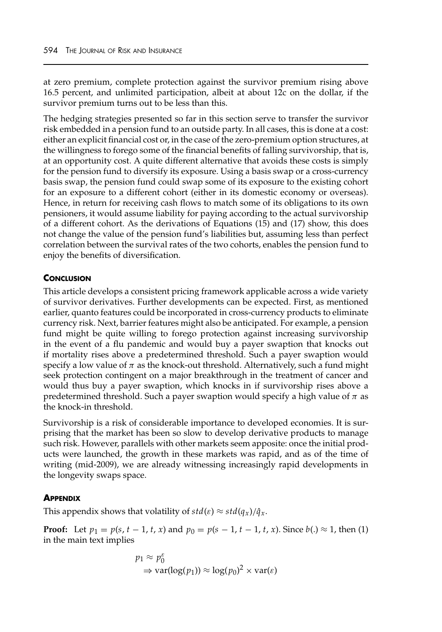at zero premium, complete protection against the survivor premium rising above 16.5 percent, and unlimited participation, albeit at about 12c on the dollar, if the survivor premium turns out to be less than this.

The hedging strategies presented so far in this section serve to transfer the survivor risk embedded in a pension fund to an outside party. In all cases, this is done at a cost: either an explicit financial cost or, in the case of the zero-premium option structures, at the willingness to forego some of the financial benefits of falling survivorship, that is, at an opportunity cost. A quite different alternative that avoids these costs is simply for the pension fund to diversify its exposure. Using a basis swap or a cross-currency basis swap, the pension fund could swap some of its exposure to the existing cohort for an exposure to a different cohort (either in its domestic economy or overseas). Hence, in return for receiving cash flows to match some of its obligations to its own pensioners, it would assume liability for paying according to the actual survivorship of a different cohort. As the derivations of Equations (15) and (17) show, this does not change the value of the pension fund's liabilities but, assuming less than perfect correlation between the survival rates of the two cohorts, enables the pension fund to enjoy the benefits of diversification.

#### **CONCLUSION**

This article develops a consistent pricing framework applicable across a wide variety of survivor derivatives. Further developments can be expected. First, as mentioned earlier, quanto features could be incorporated in cross-currency products to eliminate currency risk. Next, barrier features might also be anticipated. For example, a pension fund might be quite willing to forego protection against increasing survivorship in the event of a flu pandemic and would buy a payer swaption that knocks out if mortality rises above a predetermined threshold. Such a payer swaption would specify a low value of  $\pi$  as the knock-out threshold. Alternatively, such a fund might seek protection contingent on a major breakthrough in the treatment of cancer and would thus buy a payer swaption, which knocks in if survivorship rises above a predetermined threshold. Such a payer swaption would specify a high value of  $\pi$  as the knock-in threshold.

Survivorship is a risk of considerable importance to developed economies. It is surprising that the market has been so slow to develop derivative products to manage such risk. However, parallels with other markets seem apposite: once the initial products were launched, the growth in these markets was rapid, and as of the time of writing (mid-2009), we are already witnessing increasingly rapid developments in the longevity swaps space.

#### **APPENDIX**

This appendix shows that volatility of  $std(\varepsilon) \approx std(q_x)/\hat{q}_x$ .

**Proof:** Let *p*<sub>1</sub> = *p*(*s*, *t* − 1, *t*, *x*) and *p*<sub>0</sub> = *p*(*s* − 1, *t* − 1, *t*, *x*). Since *b*(.) ≈ 1, then (1) in the main text implies

$$
p_1 \approx p_0^{\varepsilon}
$$
  
\n
$$
\Rightarrow \text{var}(\log(p_1)) \approx \log(p_0)^2 \times \text{var}(\varepsilon)
$$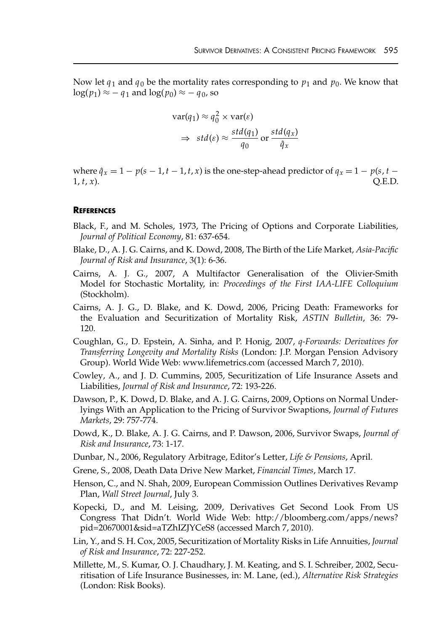Now let  $q_1$  and  $q_0$  be the mortality rates corresponding to  $p_1$  and  $p_0$ . We know that  $log(p_1) \approx -q_1$  and  $log(p_0) \approx -q_0$ , so

$$
\begin{aligned} \n\text{var}(q_1) &\approx q_0^2 \times \text{var}(\varepsilon) \\ \n&\Rightarrow \quad \text{std}(\varepsilon) \approx \frac{\text{std}(q_1)}{q_0} \text{ or } \frac{\text{std}(q_x)}{\hat{q}_x} \n\end{aligned}
$$

where  $\hat{q}_x = 1 - p(s - 1, t - 1, t, x)$  is the one-step-ahead predictor of  $q_x = 1 - p(s, t - 1, t, x)$ . Q.E.D. 1, *t*, *x*). Q.E.D.

#### **REFERENCES**

- Black, F., and M. Scholes, 1973, The Pricing of Options and Corporate Liabilities, *Journal of Political Economy*, 81: 637-654.
- Blake, D., A. J. G. Cairns, and K. Dowd, 2008, The Birth of the Life Market, *Asia-Pacific Journal of Risk and Insurance*, 3(1): 6-36.
- Cairns, A. J. G., 2007, A Multifactor Generalisation of the Olivier-Smith Model for Stochastic Mortality, in: *Proceedings of the First IAA-LIFE Colloquium* (Stockholm).
- Cairns, A. J. G., D. Blake, and K. Dowd, 2006, Pricing Death: Frameworks for the Evaluation and Securitization of Mortality Risk, *ASTIN Bulletin*, 36: 79- 120.
- Coughlan, G., D. Epstein, A. Sinha, and P. Honig, 2007, *q-Forwards: Derivatives for Transferring Longevity and Mortality Risks* (London: J.P. Morgan Pension Advisory Group). World Wide Web: www.lifemetrics.com (accessed March 7, 2010).
- Cowley, A., and J. D. Cummins, 2005, Securitization of Life Insurance Assets and Liabilities, *Journal of Risk and Insurance*, 72: 193-226.
- Dawson, P., K. Dowd, D. Blake, and A. J. G. Cairns, 2009, Options on Normal Underlyings With an Application to the Pricing of Survivor Swaptions, *Journal of Futures Markets*, 29: 757-774.
- Dowd, K., D. Blake, A. J. G. Cairns, and P. Dawson, 2006, Survivor Swaps, *Journal of Risk and Insurance*, 73: 1-17.
- Dunbar, N., 2006, Regulatory Arbitrage, Editor's Letter, *Life & Pensions*, April.
- Grene, S., 2008, Death Data Drive New Market, *Financial Times*, March 17.
- Henson, C., and N. Shah, 2009, European Commission Outlines Derivatives Revamp Plan, *Wall Street Journal*, July 3.
- Kopecki, D., and M. Leising, 2009, Derivatives Get Second Look From US Congress That Didn't. World Wide Web: http://bloomberg.com/apps/news? pid=20670001&sid=aTZhIZJYCeS8 (accessed March 7, 2010).
- Lin, Y., and S. H. Cox, 2005, Securitization of Mortality Risks in Life Annuities, *Journal of Risk and Insurance*, 72: 227-252.
- Millette, M., S. Kumar, O. J. Chaudhary, J. M. Keating, and S. I. Schreiber, 2002, Securitisation of Life Insurance Businesses, in: M. Lane, (ed.), *Alternative Risk Strategies* (London: Risk Books).